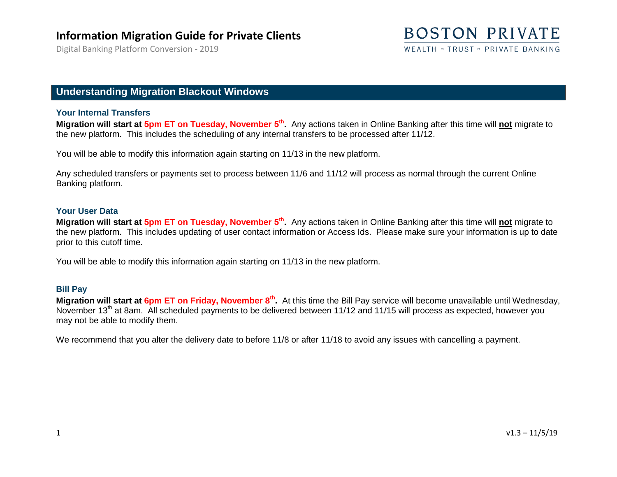Digital Banking Platform Conversion - 2019

# **BOSTON PRIVATE**

WEALTH = TRUST = PRIVATE BANKING

### **Understanding Migration Blackout Windows**

#### **Your Internal Transfers**

**Migration will start at 5pm ET on Tuesday, November 5th .** Any actions taken in Online Banking after this time will **not** migrate to the new platform. This includes the scheduling of any internal transfers to be processed after 11/12.

You will be able to modify this information again starting on 11/13 in the new platform.

Any scheduled transfers or payments set to process between 11/6 and 11/12 will process as normal through the current Online Banking platform.

#### **Your User Data**

**Migration will start at 5pm ET on Tuesday, November 5th .** Any actions taken in Online Banking after this time will **not** migrate to the new platform. This includes updating of user contact information or Access Ids. Please make sure your information is up to date prior to this cutoff time.

You will be able to modify this information again starting on 11/13 in the new platform.

### **Bill Pay**

**Migration will start at 6pm ET on Friday, November 8th .** At this time the Bill Pay service will become unavailable until Wednesday, November 13<sup>th</sup> at 8am. All scheduled payments to be delivered between 11/12 and 11/15 will process as expected, however you may not be able to modify them.

We recommend that you alter the delivery date to before 11/8 or after 11/18 to avoid any issues with cancelling a payment.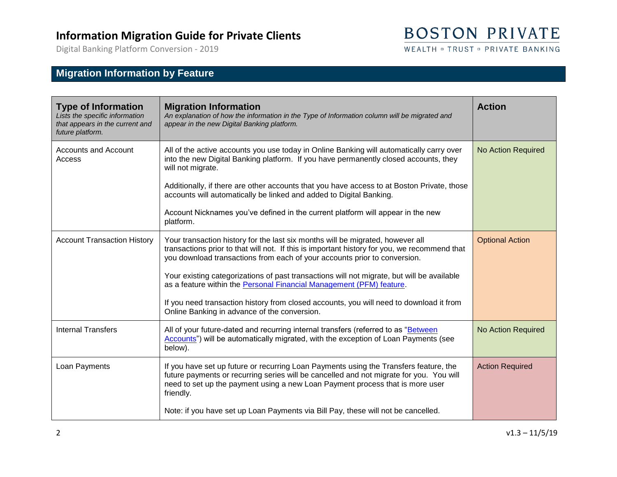Digital Banking Platform Conversion - 2019

# **BOSTON PRIVATE**

WEALTH = TRUST = PRIVATE BANKING

## **Migration Information by Feature**

| <b>Type of Information</b><br>Lists the specific information<br>that appears in the current and<br>future platform. | <b>Migration Information</b><br>An explanation of how the information in the Type of Information column will be migrated and<br>appear in the new Digital Banking platform.                                                                                                    | <b>Action</b>          |
|---------------------------------------------------------------------------------------------------------------------|--------------------------------------------------------------------------------------------------------------------------------------------------------------------------------------------------------------------------------------------------------------------------------|------------------------|
| <b>Accounts and Account</b><br>Access                                                                               | All of the active accounts you use today in Online Banking will automatically carry over<br>into the new Digital Banking platform. If you have permanently closed accounts, they<br>will not migrate.                                                                          | No Action Required     |
|                                                                                                                     | Additionally, if there are other accounts that you have access to at Boston Private, those<br>accounts will automatically be linked and added to Digital Banking.                                                                                                              |                        |
|                                                                                                                     | Account Nicknames you've defined in the current platform will appear in the new<br>platform.                                                                                                                                                                                   |                        |
| <b>Account Transaction History</b>                                                                                  | Your transaction history for the last six months will be migrated, however all<br>transactions prior to that will not. If this is important history for you, we recommend that<br>you download transactions from each of your accounts prior to conversion.                    | <b>Optional Action</b> |
|                                                                                                                     | Your existing categorizations of past transactions will not migrate, but will be available<br>as a feature within the Personal Financial Management (PFM) feature.                                                                                                             |                        |
|                                                                                                                     | If you need transaction history from closed accounts, you will need to download it from<br>Online Banking in advance of the conversion.                                                                                                                                        |                        |
| <b>Internal Transfers</b>                                                                                           | All of your future-dated and recurring internal transfers (referred to as "Between<br>Accounts") will be automatically migrated, with the exception of Loan Payments (see<br>below).                                                                                           | No Action Required     |
| Loan Payments                                                                                                       | If you have set up future or recurring Loan Payments using the Transfers feature, the<br>future payments or recurring series will be cancelled and not migrate for you. You will<br>need to set up the payment using a new Loan Payment process that is more user<br>friendly. | <b>Action Required</b> |
|                                                                                                                     | Note: if you have set up Loan Payments via Bill Pay, these will not be cancelled.                                                                                                                                                                                              |                        |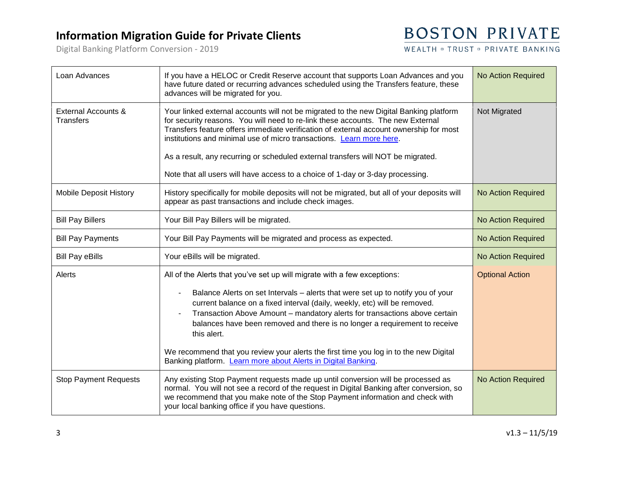Digital Banking Platform Conversion - 2019

## **BOSTON PRIVATE**

WEALTH = TRUST = PRIVATE BANKING

| Loan Advances                                      | If you have a HELOC or Credit Reserve account that supports Loan Advances and you<br>have future dated or recurring advances scheduled using the Transfers feature, these<br>advances will be migrated for you.                                                                                                                                                                                                                                                                                                                                                               | <b>No Action Required</b> |
|----------------------------------------------------|-------------------------------------------------------------------------------------------------------------------------------------------------------------------------------------------------------------------------------------------------------------------------------------------------------------------------------------------------------------------------------------------------------------------------------------------------------------------------------------------------------------------------------------------------------------------------------|---------------------------|
| <b>External Accounts &amp;</b><br><b>Transfers</b> | Your linked external accounts will not be migrated to the new Digital Banking platform<br>for security reasons. You will need to re-link these accounts. The new External<br>Transfers feature offers immediate verification of external account ownership for most<br>institutions and minimal use of micro transactions. Learn more here.<br>As a result, any recurring or scheduled external transfers will NOT be migrated.<br>Note that all users will have access to a choice of 1-day or 3-day processing.                                                             | Not Migrated              |
| <b>Mobile Deposit History</b>                      | History specifically for mobile deposits will not be migrated, but all of your deposits will<br>appear as past transactions and include check images.                                                                                                                                                                                                                                                                                                                                                                                                                         | No Action Required        |
| <b>Bill Pay Billers</b>                            | Your Bill Pay Billers will be migrated.                                                                                                                                                                                                                                                                                                                                                                                                                                                                                                                                       | <b>No Action Required</b> |
| <b>Bill Pay Payments</b>                           | Your Bill Pay Payments will be migrated and process as expected.                                                                                                                                                                                                                                                                                                                                                                                                                                                                                                              | <b>No Action Required</b> |
| <b>Bill Pay eBills</b>                             | Your eBills will be migrated.                                                                                                                                                                                                                                                                                                                                                                                                                                                                                                                                                 | <b>No Action Required</b> |
| Alerts                                             | All of the Alerts that you've set up will migrate with a few exceptions:<br>Balance Alerts on set Intervals - alerts that were set up to notify you of your<br>current balance on a fixed interval (daily, weekly, etc) will be removed.<br>Transaction Above Amount - mandatory alerts for transactions above certain<br>balances have been removed and there is no longer a requirement to receive<br>this alert.<br>We recommend that you review your alerts the first time you log in to the new Digital<br>Banking platform. Learn more about Alerts in Digital Banking. | <b>Optional Action</b>    |
| <b>Stop Payment Requests</b>                       | Any existing Stop Payment requests made up until conversion will be processed as<br>normal. You will not see a record of the request in Digital Banking after conversion, so<br>we recommend that you make note of the Stop Payment information and check with<br>your local banking office if you have questions.                                                                                                                                                                                                                                                            | <b>No Action Required</b> |